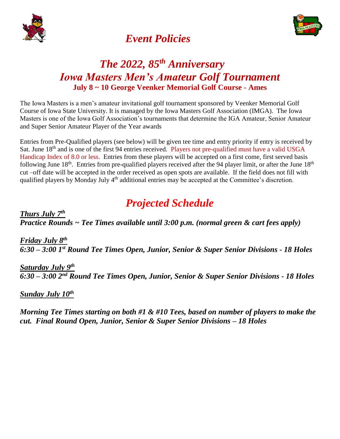



# *Event Policies*

# *The 2022, 85 th Anniversary Iowa Masters Men's Amateur Golf Tournament* **July 8 ~ 10 George Veenker Memorial Golf Course - Ames**

The Iowa Masters is a men's amateur invitational golf tournament sponsored by Veenker Memorial Golf Course of Iowa State University. It is managed by the Iowa Masters Golf Association (IMGA). The Iowa Masters is one of the Iowa Golf Association's tournaments that determine the IGA Amateur, Senior Amateur and Super Senior Amateur Player of the Year awards

Entries from Pre-Qualified players (see below) will be given tee time and entry priority if entry is received by Sat. June 18<sup>th</sup> and is one of the first 94 entries received. Players not pre-qualified must have a valid USGA Handicap Index of 8.0 or less. Entries from these players will be accepted on a first come, first served basis following June  $18<sup>th</sup>$ . Entries from pre-qualified players received after the 94 player limit, or after the June  $18<sup>th</sup>$ cut –off date will be accepted in the order received as open spots are available. If the field does not fill with qualified players by Monday July 4<sup>th</sup> additional entries may be accepted at the Committee's discretion.

# *Projected Schedule*

*Thurs July 7 th Practice Rounds ~ Tee Times available until 3:00 p.m. (normal green & cart fees apply)*

*Friday July 8 th 6:30 – 3:00 1st Round Tee Times Open, Junior, Senior & Super Senior Divisions - 18 Holes*

*Saturday July 9 th 6:30 – 3:00 2nd Round Tee Times Open, Junior, Senior & Super Senior Divisions - 18 Holes*

*Sunday July 10 th*

*Morning Tee Times starting on both #1 & #10 Tees, based on number of players to make the cut. Final Round Open, Junior, Senior & Super Senior Divisions – 18 Holes*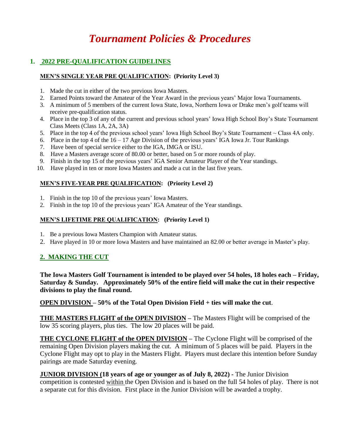# *Tournament Policies & Procedures*

# **1. 2022 PRE-QUALIFICATION GUIDELINES**

### **MEN'S SINGLE YEAR PRE QUALIFICATION: (Priority Level 3)**

- 1. Made the cut in either of the two previous Iowa Masters.
- 2. Earned Points toward the Amateur of the Year Award in the previous years' Major Iowa Tournaments.
- 3. A minimum of 5 members of the current Iowa State, Iowa, Northern Iowa or Drake men's golf teams will receive pre-qualification status.
- 4. Place in the top 3 of any of the current and previous school years' Iowa High School Boy's State Tournament Class Meets (Class 1A, 2A, 3A)
- 5. Place in the top 4 of the previous school years' Iowa High School Boy's State Tournament  $\sim$  Class 4A only.
- 6. Place in the top 4 of the  $16 17$  Age Division of the previous years' IGA Iowa Jr. Tour Rankings
- 7. Have been of special service either to the IGA, IMGA or ISU.
- 8. Have a Masters average score of 80.00 or better, based on 5 or more rounds of play.
- 9. Finish in the top 15 of the previous years' IGA Senior Amateur Player of the Year standings.
- 10. Have played in ten or more Iowa Masters and made a cut in the last five years.

## **MEN'S FIVE-YEAR PRE QUALIFICATION: (Priority Level 2)**

- 1. Finish in the top 10 of the previous years' Iowa Masters.
- 2. Finish in the top 10 of the previous years' IGA Amateur of the Year standings.

## **MEN'S LIFETIME PRE QUALIFICATION: (Priority Level 1)**

- 1. Be a previous Iowa Masters Champion with Amateur status.
- 2. Have played in 10 or more Iowa Masters and have maintained an 82.00 or better average in Master's play.

# **2. MAKING THE CUT**

**The Iowa Masters Golf Tournament is intended to be played over 54 holes, 18 holes each – Friday, Saturday & Sunday. Approximately 50% of the entire field will make the cut in their respective divisions to play the final round.** 

**OPEN DIVISION – 50% of the Total Open Division Field + ties will make the cut**.

**THE MASTERS FLIGHT of the OPEN DIVISION –** The Masters Flight will be comprised of the low 35 scoring players, plus ties. The low 20 places will be paid.

**THE CYCLONE FLIGHT of the OPEN DIVISION –** The Cyclone Flight will be comprised of the remaining Open Division players making the cut. A minimum of 5 places will be paid. Players in the Cyclone Flight may opt to play in the Masters Flight. Players must declare this intention before Sunday pairings are made Saturday evening.

**JUNIOR DIVISION (18 years of age or younger as of July 8, 2022) -** The Junior Division competition is contested within the Open Division and is based on the full 54 holes of play. There is not a separate cut for this division. First place in the Junior Division will be awarded a trophy.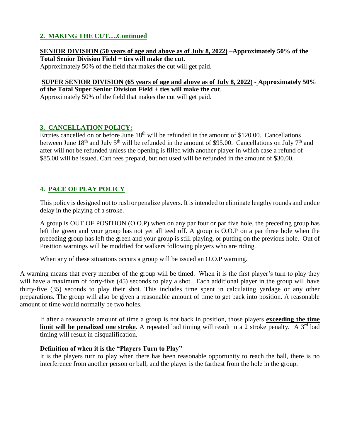# **2. MAKING THE CUT….Continued**

**SENIOR DIVISION (50 years of age and above as of July 8, 2022) –Approximately 50% of the Total Senior Division Field + ties will make the cut**.

Approximately 50% of the field that makes the cut will get paid.

#### **SUPER SENIOR DIVISION (65 years of age and above as of July 8, 2022) - Approximately 50% of the Total Super Senior Division Field + ties will make the cut**.

Approximately 50% of the field that makes the cut will get paid.

## **3. CANCELLATION POLICY:**

Entries cancelled on or before June 18<sup>th</sup> will be refunded in the amount of \$120.00. Cancellations between June  $18<sup>th</sup>$  and July  $5<sup>th</sup>$  will be refunded in the amount of \$95.00. Cancellations on July 7<sup>th</sup> and after will not be refunded unless the opening is filled with another player in which case a refund of \$85.00 will be issued. Cart fees prepaid, but not used will be refunded in the amount of \$30.00.

# **4. PACE OF PLAY POLICY**

This policy is designed not to rush or penalize players. It is intended to eliminate lengthy rounds and undue delay in the playing of a stroke.

A group is OUT OF POSITION (O.O.P) when on any par four or par five hole, the preceding group has left the green and your group has not yet all teed off. A group is O.O.P on a par three hole when the preceding group has left the green and your group is still playing, or putting on the previous hole. Out of Position warnings will be modified for walkers following players who are riding.

When any of these situations occurs a group will be issued an O.O.P warning.

A warning means that every member of the group will be timed. When it is the first player's turn to play they will have a maximum of forty-five (45) seconds to play a shot. Each additional player in the group will have thirty-five (35) seconds to play their shot. This includes time spent in calculating yardage or any other preparations. The group will also be given a reasonable amount of time to get back into position. A reasonable amount of time would normally be two holes.

If after a reasonable amount of time a group is not back in position, those players **exceeding the time limit will be penalized one stroke**. A repeated bad timing will result in a 2 stroke penalty. A 3<sup>rd</sup> bad timing will result in disqualification.

## **Definition of when it is the "Players Turn to Play"**

It is the players turn to play when there has been reasonable opportunity to reach the ball, there is no interference from another person or ball, and the player is the farthest from the hole in the group.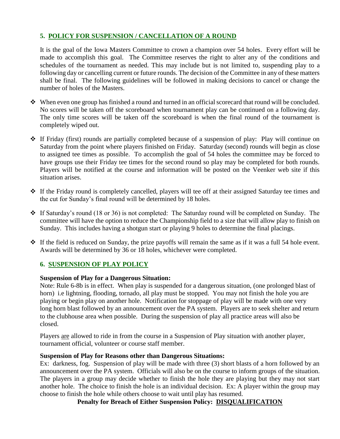# **5. POLICY FOR SUSPENSION / CANCELLATION OF A ROUND**

It is the goal of the Iowa Masters Committee to crown a champion over 54 holes. Every effort will be made to accomplish this goal. The Committee reserves the right to alter any of the conditions and schedules of the tournament as needed. This may include but is not limited to, suspending play to a following day or cancelling current or future rounds. The decision of the Committee in any of these matters shall be final. The following guidelines will be followed in making decisions to cancel or change the number of holes of the Masters.

- $\bullet\bullet\quad$  When even one group has finished a round and turned in an official scorecard that round will be concluded. No scores will be taken off the scoreboard when tournament play can be continued on a following day. The only time scores will be taken off the scoreboard is when the final round of the tournament is completely wiped out.
- If Friday (first) rounds are partially completed because of a suspension of play: Play will continue on Saturday from the point where players finished on Friday. Saturday (second) rounds will begin as close to assigned tee times as possible. To accomplish the goal of 54 holes the committee may be forced to have groups use their Friday tee times for the second round so play may be completed for both rounds. Players will be notified at the course and information will be posted on the Veenker web site if this situation arises.
- If the Friday round is completely cancelled, players will tee off at their assigned Saturday tee times and the cut for Sunday's final round will be determined by 18 holes.
- \* If Saturday's round (18 or 36) is not completed: The Saturday round will be completed on Sunday. The committee will have the option to reduce the Championship field to a size that will allow play to finish on Sunday. This includes having a shotgun start or playing 9 holes to determine the final placings.
- If the field is reduced on Sunday, the prize payoffs will remain the same as if it was a full 54 hole event. Awards will be determined by 36 or 18 holes, whichever were completed.

# **6. SUSPENSION OF PLAY POLICY**

# **Suspension of Play for a Dangerous Situation:**

Note: Rule 6-8b is in effect. When play is suspended for a dangerous situation, (one prolonged blast of horn) i.e lightning, flooding, tornado, all play must be stopped. You may not finish the hole you are playing or begin play on another hole. Notification for stoppage of play will be made with one very long horn blast followed by an announcement over the PA system. Players are to seek shelter and return to the clubhouse area when possible. During the suspension of play all practice areas will also be closed.

Players are allowed to ride in from the course in a Suspension of Play situation with another player, tournament official, volunteer or course staff member.

## **Suspension of Play for Reasons other than Dangerous Situations:**

Ex: darkness, fog. Suspension of play will be made with three (3) short blasts of a horn followed by an announcement over the PA system. Officials will also be on the course to inform groups of the situation. The players in a group may decide whether to finish the hole they are playing but they may not start another hole. The choice to finish the hole is an individual decision. Ex: A player within the group may choose to finish the hole while others choose to wait until play has resumed.

**Penalty for Breach of Either Suspension Policy: DISQUALIFICATION**